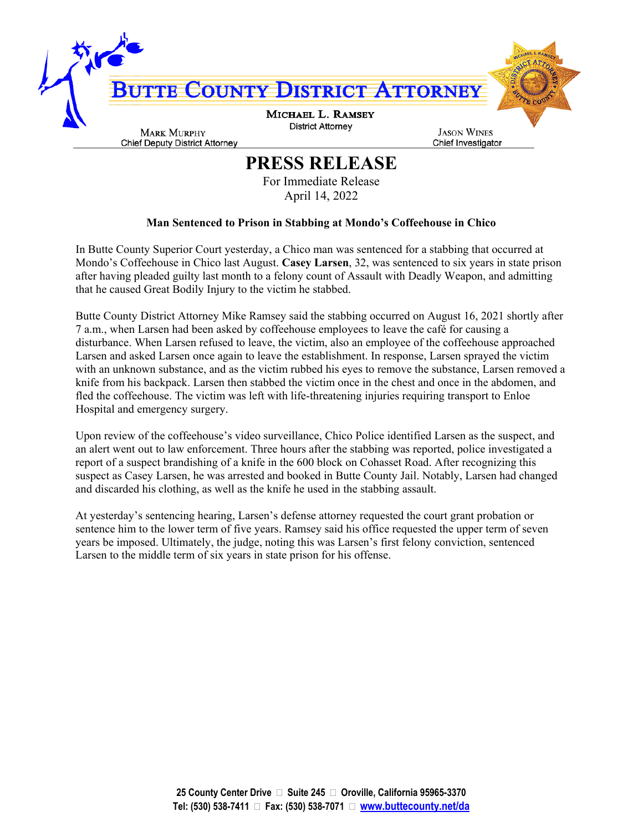

## **PRESS RELEASE**

For Immediate Release April 14, 2022

## **Man Sentenced to Prison in Stabbing at Mondo's Coffeehouse in Chico**

In Butte County Superior Court yesterday, a Chico man was sentenced for a stabbing that occurred at Mondo's Coffeehouse in Chico last August. **Casey Larsen**, 32, was sentenced to six years in state prison after having pleaded guilty last month to a felony count of Assault with Deadly Weapon, and admitting that he caused Great Bodily Injury to the victim he stabbed.

Butte County District Attorney Mike Ramsey said the stabbing occurred on August 16, 2021 shortly after 7 a.m., when Larsen had been asked by coffeehouse employees to leave the café for causing a disturbance. When Larsen refused to leave, the victim, also an employee of the coffeehouse approached Larsen and asked Larsen once again to leave the establishment. In response, Larsen sprayed the victim with an unknown substance, and as the victim rubbed his eyes to remove the substance, Larsen removed a knife from his backpack. Larsen then stabbed the victim once in the chest and once in the abdomen, and fled the coffeehouse. The victim was left with life-threatening injuries requiring transport to Enloe Hospital and emergency surgery.

Upon review of the coffeehouse's video surveillance, Chico Police identified Larsen as the suspect, and an alert went out to law enforcement. Three hours after the stabbing was reported, police investigated a report of a suspect brandishing of a knife in the 600 block on Cohasset Road. After recognizing this suspect as Casey Larsen, he was arrested and booked in Butte County Jail. Notably, Larsen had changed and discarded his clothing, as well as the knife he used in the stabbing assault.

At yesterday's sentencing hearing, Larsen's defense attorney requested the court grant probation or sentence him to the lower term of five years. Ramsey said his office requested the upper term of seven years be imposed. Ultimately, the judge, noting this was Larsen's first felony conviction, sentenced Larsen to the middle term of six years in state prison for his offense.